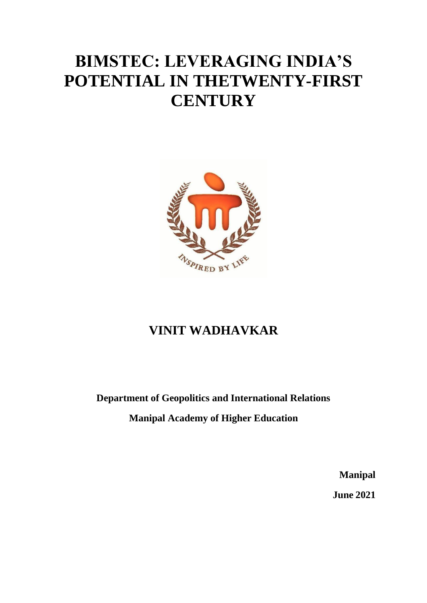# **BIMSTEC: LEVERAGING INDIA'S POTENTIAL IN THETWENTY-FIRST CENTURY**



## **VINIT WADHAVKAR**

#### **Department of Geopolitics and International Relations**

**Manipal Academy of Higher Education**

**Manipal**

**June 2021**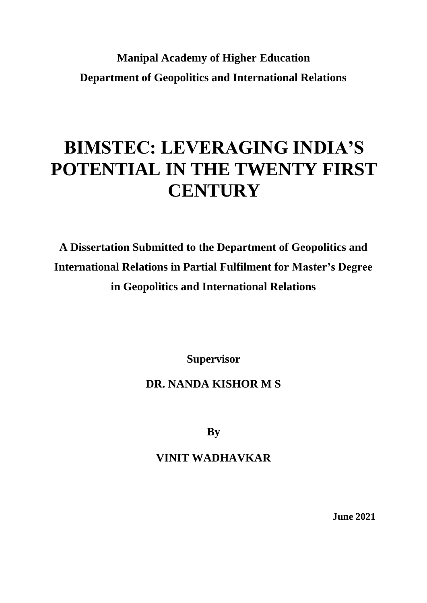## **Manipal Academy of Higher Education Department of Geopolitics and International Relations**

# **BIMSTEC: LEVERAGING INDIA'S POTENTIAL IN THE TWENTY FIRST CENTURY**

**A Dissertation Submitted to the Department of Geopolitics and International Relations in Partial Fulfilment for Master's Degree in Geopolitics and International Relations**

**Supervisor**

### **DR. NANDA KISHOR M S**

**By**

### **VINIT WADHAVKAR**

**June 2021**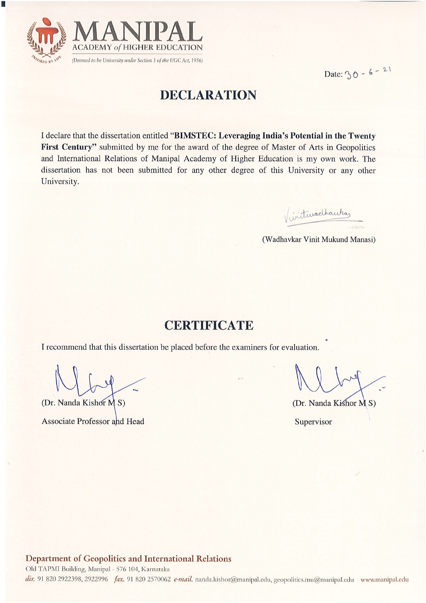

e i

## Date:  $30 - 6 - 21$

### **DECLARATION**

I declare that the dissertation entitled "BIMSTEC: Leveraging India's Potential in the Twenty First Century" submitted by me for the award of the degree of Master of Arts in Geopolitics and International Relations of Manipal Academy of Higher Education is my own work. The dissertation has not been submitted for any other degree of this University or any other University.

Viviturachautas

(Wadhavkar Vinit Mukund Manasi)

### **CERTIFICATE**

I recommend that this dissertation be placed before the examiners for evaluation.

(Dr. Nanda Kishor M S) **Associate Professor and Head** 

(Dr. Nanda Kishor M S)

Supervisor

#### Department of Geopolitics and International Relations

Old TAPMI Building, Manipal - 576 104, Karnataka dir. 91 820 2922398, 2922996 fax. 91 820 2570062 e-mail. nanda.kishor@manipal.edu, geopolitics.mu@manipal.edu www.manipal.edu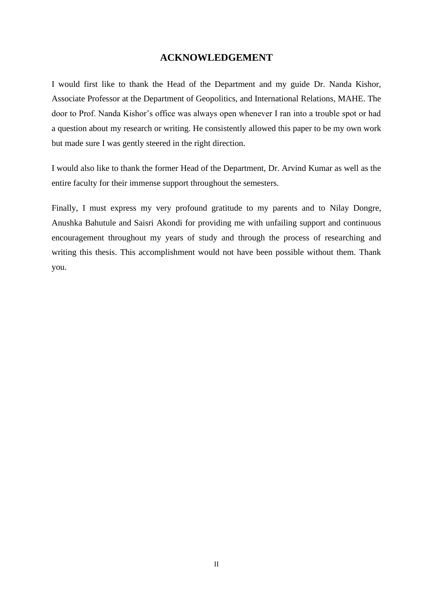#### **ACKNOWLEDGEMENT**

I would first like to thank the Head of the Department and my guide Dr. Nanda Kishor, Associate Professor at the Department of Geopolitics, and International Relations, MAHE. The door to Prof. Nanda Kishor's office was always open whenever I ran into a trouble spot or had a question about my research or writing. He consistently allowed this paper to be my own work but made sure I was gently steered in the right direction.

I would also like to thank the former Head of the Department, Dr. Arvind Kumar as well as the entire faculty for their immense support throughout the semesters.

Finally, I must express my very profound gratitude to my parents and to Nilay Dongre, Anushka Bahutule and Saisri Akondi for providing me with unfailing support and continuous encouragement throughout my years of study and through the process of researching and writing this thesis. This accomplishment would not have been possible without them. Thank you.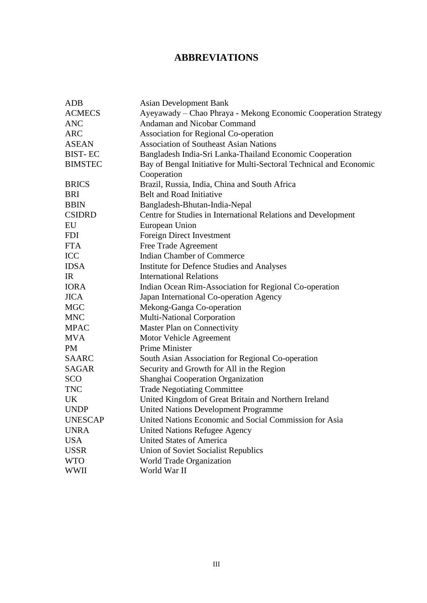#### **ABBREVIATIONS**

| <b>ADB</b>     | <b>Asian Development Bank</b>                                      |
|----------------|--------------------------------------------------------------------|
| <b>ACMECS</b>  | Ayeyawady - Chao Phraya - Mekong Economic Cooperation Strategy     |
| <b>ANC</b>     | Andaman and Nicobar Command                                        |
| <b>ARC</b>     | Association for Regional Co-operation                              |
| <b>ASEAN</b>   | <b>Association of Southeast Asian Nations</b>                      |
| <b>BIST-EC</b> | Bangladesh India-Sri Lanka-Thailand Economic Cooperation           |
| <b>BIMSTEC</b> | Bay of Bengal Initiative for Multi-Sectoral Technical and Economic |
|                | Cooperation                                                        |
| <b>BRICS</b>   | Brazil, Russia, India, China and South Africa                      |
| <b>BRI</b>     | <b>Belt and Road Initiative</b>                                    |
| <b>BBIN</b>    | Bangladesh-Bhutan-India-Nepal                                      |
| <b>CSIDRD</b>  | Centre for Studies in International Relations and Development      |
| EU             | European Union                                                     |
| <b>FDI</b>     | Foreign Direct Investment                                          |
| <b>FTA</b>     | Free Trade Agreement                                               |
| <b>ICC</b>     | <b>Indian Chamber of Commerce</b>                                  |
| <b>IDSA</b>    | <b>Institute for Defence Studies and Analyses</b>                  |
| IR             | <b>International Relations</b>                                     |
| <b>IORA</b>    | Indian Ocean Rim-Association for Regional Co-operation             |
| <b>JICA</b>    | Japan International Co-operation Agency                            |
| <b>MGC</b>     | Mekong-Ganga Co-operation                                          |
| <b>MNC</b>     | Multi-National Corporation                                         |
| <b>MPAC</b>    | Master Plan on Connectivity                                        |
| <b>MVA</b>     | Motor Vehicle Agreement                                            |
| <b>PM</b>      | Prime Minister                                                     |
| <b>SAARC</b>   | South Asian Association for Regional Co-operation                  |
| <b>SAGAR</b>   | Security and Growth for All in the Region                          |
| <b>SCO</b>     | Shanghai Cooperation Organization                                  |
| <b>TNC</b>     | <b>Trade Negotiating Committee</b>                                 |
| UK             | United Kingdom of Great Britain and Northern Ireland               |
| <b>UNDP</b>    | <b>United Nations Development Programme</b>                        |
| <b>UNESCAP</b> | United Nations Economic and Social Commission for Asia             |
| <b>UNRA</b>    | <b>United Nations Refugee Agency</b>                               |
| <b>USA</b>     | <b>United States of America</b>                                    |
| <b>USSR</b>    | <b>Union of Soviet Socialist Republics</b>                         |
| <b>WTO</b>     | World Trade Organization                                           |
| <b>WWII</b>    | World War II                                                       |
|                |                                                                    |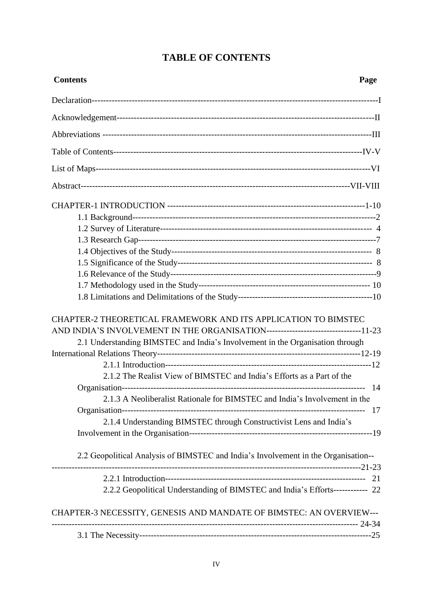| <b>Contents</b>                                                                                                                                                                                                                     | Page |
|-------------------------------------------------------------------------------------------------------------------------------------------------------------------------------------------------------------------------------------|------|
|                                                                                                                                                                                                                                     |      |
|                                                                                                                                                                                                                                     |      |
|                                                                                                                                                                                                                                     |      |
|                                                                                                                                                                                                                                     |      |
|                                                                                                                                                                                                                                     |      |
|                                                                                                                                                                                                                                     |      |
|                                                                                                                                                                                                                                     |      |
|                                                                                                                                                                                                                                     |      |
|                                                                                                                                                                                                                                     |      |
|                                                                                                                                                                                                                                     |      |
|                                                                                                                                                                                                                                     |      |
|                                                                                                                                                                                                                                     |      |
|                                                                                                                                                                                                                                     |      |
|                                                                                                                                                                                                                                     |      |
|                                                                                                                                                                                                                                     |      |
| CHAPTER-2 THEORETICAL FRAMEWORK AND ITS APPLICATION TO BIMSTEC<br>AND INDIA'S INVOLVEMENT IN THE ORGANISATION--------------------------------11-23<br>2.1 Understanding BIMSTEC and India's Involvement in the Organisation through |      |
| 2.1.2 The Realist View of BIMSTEC and India's Efforts as a Part of the                                                                                                                                                              |      |
|                                                                                                                                                                                                                                     |      |
| 2.1.3 A Neoliberalist Rationale for BIMSTEC and India's Involvement in the                                                                                                                                                          |      |
|                                                                                                                                                                                                                                     | 17   |
| 2.1.4 Understanding BIMSTEC through Constructivist Lens and India's                                                                                                                                                                 |      |
|                                                                                                                                                                                                                                     |      |
| 2.2 Geopolitical Analysis of BIMSTEC and India's Involvement in the Organisation--                                                                                                                                                  |      |
|                                                                                                                                                                                                                                     | 21   |
| 2.2.2 Geopolitical Understanding of BIMSTEC and India's Efforts------------ 22                                                                                                                                                      |      |
| CHAPTER-3 NECESSITY, GENESIS AND MANDATE OF BIMSTEC: AN OVERVIEW---                                                                                                                                                                 |      |
|                                                                                                                                                                                                                                     |      |
|                                                                                                                                                                                                                                     |      |

#### **TABLE OF CONTENTS**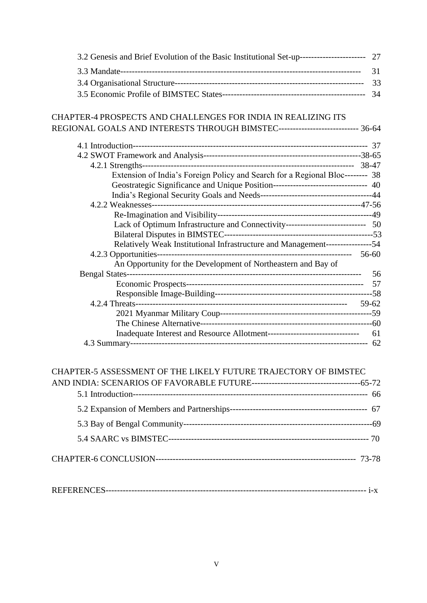| 3.2 Genesis and Brief Evolution of the Basic Institutional Set-up----------------------------- 27 |    |
|---------------------------------------------------------------------------------------------------|----|
|                                                                                                   | 31 |
|                                                                                                   | 33 |
|                                                                                                   | 34 |
|                                                                                                   |    |
| CHAPTER-4 PROSPECTS AND CHALLENGES FOR INDIA IN REALIZING ITS                                     |    |
| REGIONAL GOALS AND INTERESTS THROUGH BIMSTEC---------------------------- 36-64                    |    |
|                                                                                                   |    |
|                                                                                                   |    |
|                                                                                                   |    |
| Extension of India's Foreign Policy and Search for a Regional Bloc-------- 38                     |    |
| Geostrategic Significance and Unique Position-------------------------------- 40                  |    |
|                                                                                                   |    |
|                                                                                                   |    |
|                                                                                                   |    |
| Lack of Optimum Infrastructure and Connectivity--------------------------- 50                     |    |
| Relatively Weak Institutional Infrastructure and Management-----------------54                    |    |
|                                                                                                   |    |
| An Opportunity for the Development of Northeastern and Bay of                                     |    |
|                                                                                                   | 56 |
|                                                                                                   |    |
|                                                                                                   |    |
|                                                                                                   |    |
|                                                                                                   |    |
|                                                                                                   |    |
|                                                                                                   |    |
|                                                                                                   |    |
|                                                                                                   |    |
| CHAPTER-5 ASSESSMENT OF THE LIKELY FUTURE TRAJECTORY OF BIMSTEC                                   |    |
|                                                                                                   |    |
|                                                                                                   |    |
|                                                                                                   |    |
|                                                                                                   |    |
|                                                                                                   |    |
|                                                                                                   |    |
|                                                                                                   |    |
|                                                                                                   |    |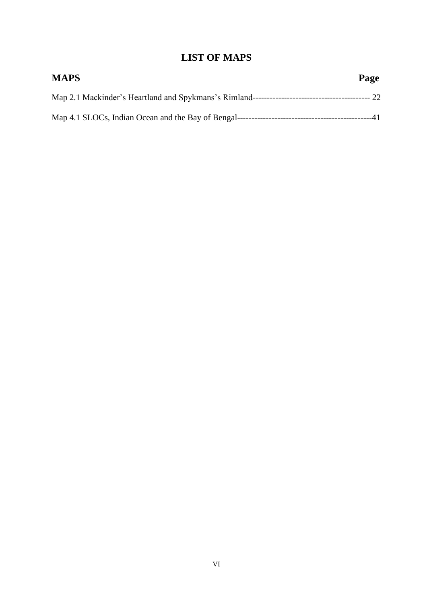#### **LIST OF MAPS**

| <b>MAPS</b> | Page |
|-------------|------|
|             |      |
|             |      |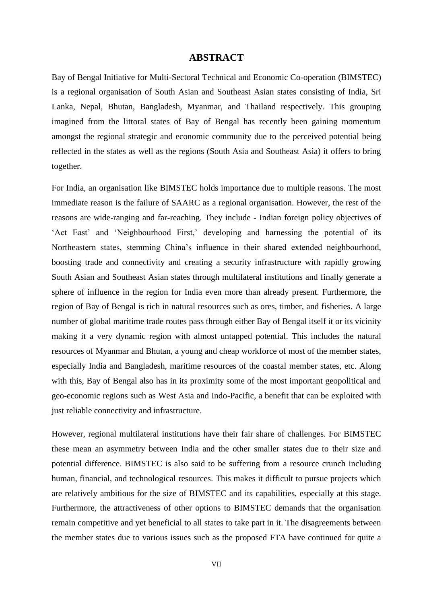#### **ABSTRACT**

Bay of Bengal Initiative for Multi-Sectoral Technical and Economic Co-operation (BIMSTEC) is a regional organisation of South Asian and Southeast Asian states consisting of India, Sri Lanka, Nepal, Bhutan, Bangladesh, Myanmar, and Thailand respectively. This grouping imagined from the littoral states of Bay of Bengal has recently been gaining momentum amongst the regional strategic and economic community due to the perceived potential being reflected in the states as well as the regions (South Asia and Southeast Asia) it offers to bring together.

For India, an organisation like BIMSTEC holds importance due to multiple reasons. The most immediate reason is the failure of SAARC as a regional organisation. However, the rest of the reasons are wide-ranging and far-reaching. They include - Indian foreign policy objectives of 'Act East' and 'Neighbourhood First,' developing and harnessing the potential of its Northeastern states, stemming China's influence in their shared extended neighbourhood, boosting trade and connectivity and creating a security infrastructure with rapidly growing South Asian and Southeast Asian states through multilateral institutions and finally generate a sphere of influence in the region for India even more than already present. Furthermore, the region of Bay of Bengal is rich in natural resources such as ores, timber, and fisheries. A large number of global maritime trade routes pass through either Bay of Bengal itself it or its vicinity making it a very dynamic region with almost untapped potential. This includes the natural resources of Myanmar and Bhutan, a young and cheap workforce of most of the member states, especially India and Bangladesh, maritime resources of the coastal member states, etc. Along with this, Bay of Bengal also has in its proximity some of the most important geopolitical and geo-economic regions such as West Asia and Indo-Pacific, a benefit that can be exploited with just reliable connectivity and infrastructure.

However, regional multilateral institutions have their fair share of challenges. For BIMSTEC these mean an asymmetry between India and the other smaller states due to their size and potential difference. BIMSTEC is also said to be suffering from a resource crunch including human, financial, and technological resources. This makes it difficult to pursue projects which are relatively ambitious for the size of BIMSTEC and its capabilities, especially at this stage. Furthermore, the attractiveness of other options to BIMSTEC demands that the organisation remain competitive and yet beneficial to all states to take part in it. The disagreements between the member states due to various issues such as the proposed FTA have continued for quite a